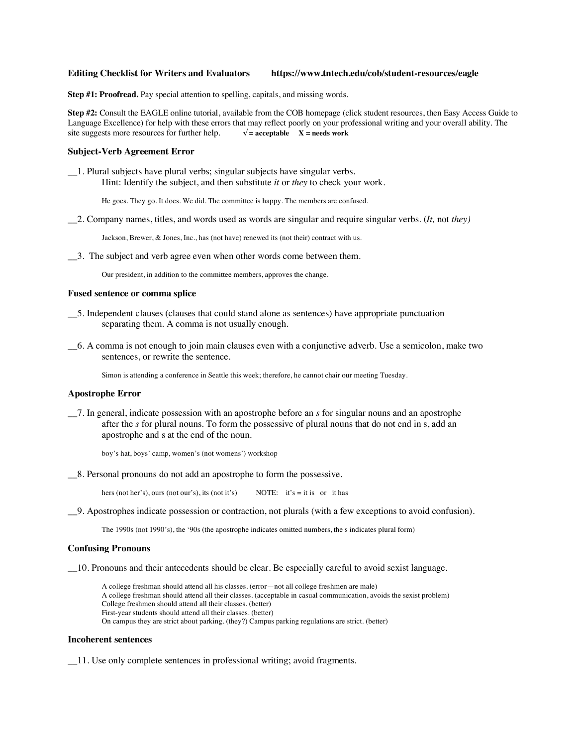# **Editing Checklist for Writers and Evaluators https://www.tntech.edu/cob/student-resources/eagle**

**Step #1: Proofread.** Pay special attention to spelling, capitals, and missing words.

**Step #2:** Consult the EAGLE online tutorial, available from the COB homepage (click student resources, then Easy Access Guide to Language Excellence) for help with these errors that may reflect poorly on your professional writing and your overall ability. The site suggests more resources for further help.  $\sqrt{\ }$  = acceptable X = needs work

## **Subject-Verb Agreement Error**

\_\_1. Plural subjects have plural verbs; singular subjects have singular verbs. Hint: Identify the subject, and then substitute *it* or *they* to check your work.

He goes. They go. It does. We did. The committee is happy. The members are confused.

\_\_2. Company names, titles, and words used as words are singular and require singular verbs. (*It,* not *they)*

Jackson, Brewer, & Jones, Inc., has (not have) renewed its (not their) contract with us.

\_\_3. The subject and verb agree even when other words come between them.

Our president, in addition to the committee members, approves the change.

#### **Fused sentence or comma splice**

- \_\_5. Independent clauses (clauses that could stand alone as sentences) have appropriate punctuation separating them. A comma is not usually enough.
- \_\_6. A comma is not enough to join main clauses even with a conjunctive adverb. Use a semicolon, make two sentences, or rewrite the sentence.

Simon is attending a conference in Seattle this week; therefore, he cannot chair our meeting Tuesday.

#### **Apostrophe Error**

\_\_7. In general, indicate possession with an apostrophe before an *s* for singular nouns and an apostrophe after the *s* for plural nouns. To form the possessive of plural nouns that do not end in s, add an apostrophe and s at the end of the noun.

boy's hat, boys' camp, women's (not womens') workshop

\_\_8. Personal pronouns do not add an apostrophe to form the possessive.

hers (not her's), ours (not our's), its (not it's) NOTE: it's = it is or it has

\_\_9. Apostrophes indicate possession or contraction, not plurals (with a few exceptions to avoid confusion).

The 1990s (not 1990's), the '90s (the apostrophe indicates omitted numbers, the s indicates plural form)

## **Confusing Pronouns**

\_\_10. Pronouns and their antecedents should be clear. Be especially careful to avoid sexist language.

A college freshman should attend all his classes. (error—not all college freshmen are male) A college freshman should attend all their classes. (acceptable in casual communication, avoids the sexist problem) College freshmen should attend all their classes. (better) First-year students should attend all their classes. (better) On campus they are strict about parking. (they?) Campus parking regulations are strict. (better)

#### **Incoherent sentences**

\_\_11. Use only complete sentences in professional writing; avoid fragments.